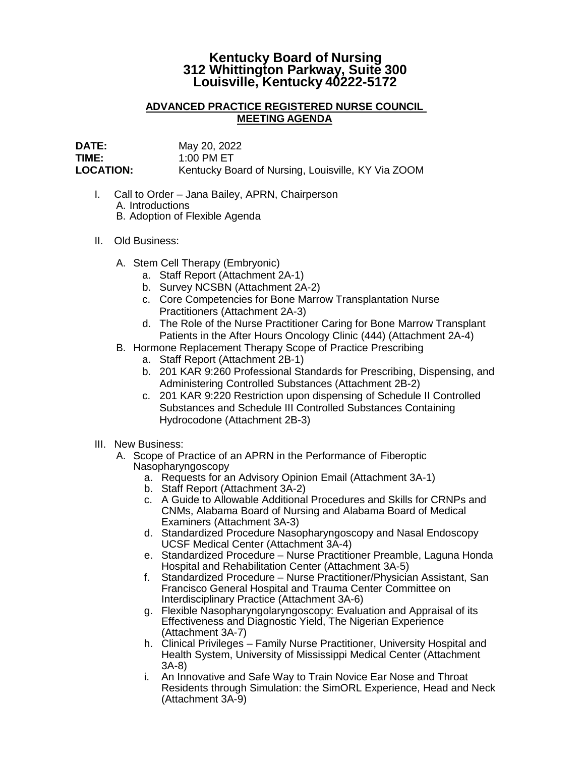## **Kentucky Board of Nursing 312 Whittington Parkway, Suite 300 Louisville, Kentucky 40222-5172**

## **ADVANCED PRACTICE REGISTERED NURSE COUNCIL MEETING AGENDA**

**DATE:** May 20, 2022 **TIME:** 1:00 PM ET **LOCATION:** Kentucky Board of Nursing, Louisville, KY Via ZOOM

- I. Call to Order Jana Bailey, APRN, Chairperson A. Introductions B. Adoption of Flexible Agenda
- II. Old Business:
	- A. Stem Cell Therapy (Embryonic)
		- a. Staff Report (Attachment 2A-1)
		- b. Survey NCSBN (Attachment 2A-2)
		- c. Core Competencies for Bone Marrow Transplantation Nurse Practitioners (Attachment 2A-3)
		- d. The Role of the Nurse Practitioner Caring for Bone Marrow Transplant Patients in the After Hours Oncology Clinic (444) (Attachment 2A-4)
	- B. Hormone Replacement Therapy Scope of Practice Prescribing
		- a. Staff Report (Attachment 2B-1)
		- b. 201 KAR 9:260 Professional Standards for Prescribing, Dispensing, and Administering Controlled Substances (Attachment 2B-2)
		- c. 201 KAR 9:220 Restriction upon dispensing of Schedule II Controlled Substances and Schedule III Controlled Substances Containing Hydrocodone (Attachment 2B-3)
- III. New Business:
	- A. Scope of Practice of an APRN in the Performance of Fiberoptic Nasopharyngoscopy
		- a. Requests for an Advisory Opinion Email (Attachment 3A-1)
		- b. Staff Report (Attachment 3A-2)
		- c. A Guide to Allowable Additional Procedures and Skills for CRNPs and CNMs, Alabama Board of Nursing and Alabama Board of Medical Examiners (Attachment 3A-3)
		- d. Standardized Procedure Nasopharyngoscopy and Nasal Endoscopy UCSF Medical Center (Attachment 3A-4)
		- e. Standardized Procedure Nurse Practitioner Preamble, Laguna Honda Hospital and Rehabilitation Center (Attachment 3A-5)
		- f. Standardized Procedure Nurse Practitioner/Physician Assistant, San Francisco General Hospital and Trauma Center Committee on Interdisciplinary Practice (Attachment 3A-6)
		- g. Flexible Nasopharyngolaryngoscopy: Evaluation and Appraisal of its Effectiveness and Diagnostic Yield, The Nigerian Experience (Attachment 3A-7)
		- h. Clinical Privileges Family Nurse Practitioner, University Hospital and Health System, University of Mississippi Medical Center (Attachment 3A-8)
		- i. An Innovative and Safe Way to Train Novice Ear Nose and Throat Residents through Simulation: the SimORL Experience, Head and Neck (Attachment 3A-9)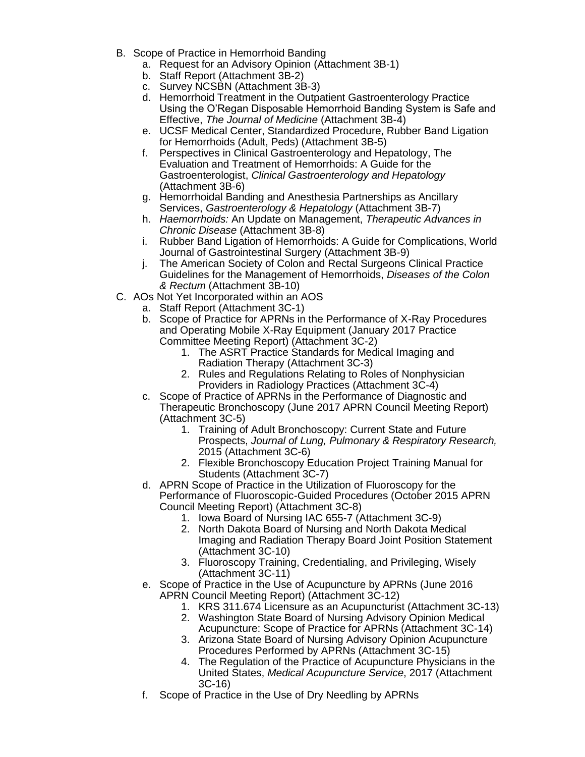- B. Scope of Practice in Hemorrhoid Banding
	- a. Request for an Advisory Opinion (Attachment 3B-1)
	- b. Staff Report (Attachment 3B-2)
	- c. Survey NCSBN (Attachment 3B-3)
	- d. Hemorrhoid Treatment in the Outpatient Gastroenterology Practice Using the O'Regan Disposable Hemorrhoid Banding System is Safe and Effective, *The Journal of Medicine* (Attachment 3B-4)
	- e. UCSF Medical Center, Standardized Procedure, Rubber Band Ligation for Hemorrhoids (Adult, Peds) (Attachment 3B-5)
	- f. Perspectives in Clinical Gastroenterology and Hepatology, The Evaluation and Treatment of Hemorrhoids: A Guide for the Gastroenterologist, *Clinical Gastroenterology and Hepatology* (Attachment 3B-6)
	- g. Hemorrhoidal Banding and Anesthesia Partnerships as Ancillary Services, *Gastroenterology & Hepatology* (Attachment 3B-7)
	- h. *Haemorrhoids:* An Update on Management, *Therapeutic Advances in Chronic Disease* (Attachment 3B-8)
	- i. Rubber Band Ligation of Hemorrhoids: A Guide for Complications, World Journal of Gastrointestinal Surgery (Attachment 3B-9)
	- j. The American Society of Colon and Rectal Surgeons Clinical Practice Guidelines for the Management of Hemorrhoids, *Diseases of the Colon & Rectum* (Attachment 3B-10)
- C. AOs Not Yet Incorporated within an AOS
	- a. Staff Report (Attachment 3C-1)
	- b. Scope of Practice for APRNs in the Performance of X-Ray Procedures and Operating Mobile X-Ray Equipment (January 2017 Practice Committee Meeting Report) (Attachment 3C-2)
		- 1. The ASRT Practice Standards for Medical Imaging and Radiation Therapy (Attachment 3C-3)
		- 2. Rules and Regulations Relating to Roles of Nonphysician Providers in Radiology Practices (Attachment 3C-4)
	- c. Scope of Practice of APRNs in the Performance of Diagnostic and Therapeutic Bronchoscopy (June 2017 APRN Council Meeting Report) (Attachment 3C-5)
		- 1. Training of Adult Bronchoscopy: Current State and Future Prospects, *Journal of Lung, Pulmonary & Respiratory Research,* 2015 (Attachment 3C-6)
		- 2. Flexible Bronchoscopy Education Project Training Manual for Students (Attachment 3C-7)
	- d. APRN Scope of Practice in the Utilization of Fluoroscopy for the Performance of Fluoroscopic-Guided Procedures (October 2015 APRN Council Meeting Report) (Attachment 3C-8)
		- 1. Iowa Board of Nursing IAC 655-7 (Attachment 3C-9)
		- 2. North Dakota Board of Nursing and North Dakota Medical Imaging and Radiation Therapy Board Joint Position Statement (Attachment 3C-10)
		- 3. Fluoroscopy Training, Credentialing, and Privileging, Wisely (Attachment 3C-11)
	- e. Scope of Practice in the Use of Acupuncture by APRNs (June 2016 APRN Council Meeting Report) (Attachment 3C-12)
		- 1. KRS 311.674 Licensure as an Acupuncturist (Attachment 3C-13)
		- 2. Washington State Board of Nursing Advisory Opinion Medical Acupuncture: Scope of Practice for APRNs (Attachment 3C-14)
		- 3. Arizona State Board of Nursing Advisory Opinion Acupuncture Procedures Performed by APRNs (Attachment 3C-15)
		- 4. The Regulation of the Practice of Acupuncture Physicians in the United States, *Medical Acupuncture Service*, 2017 (Attachment 3C-16)
	- f. Scope of Practice in the Use of Dry Needling by APRNs